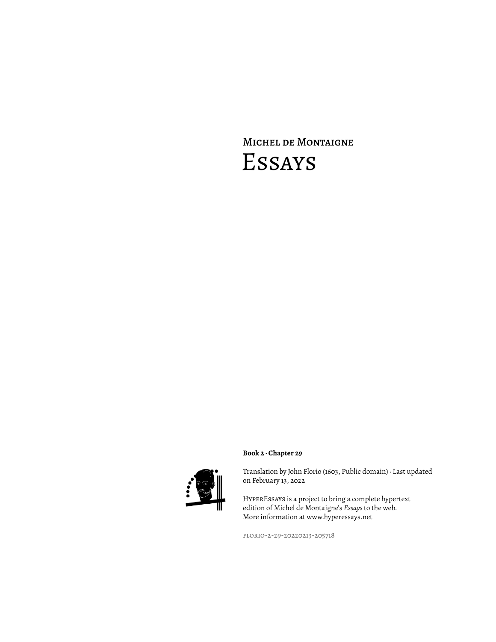# Michel de Montaigne Essays



Translation by John Florio (1603, Public domain) · Last updated on February 13, 2022

HyperEssays is a project to bring a complete hypertext edition of Michel de Montaigne's *Essays* to the web. More information at www.hyperessays.net

florio-2-29-20220213-205718

**Book 2 · Chapter 29**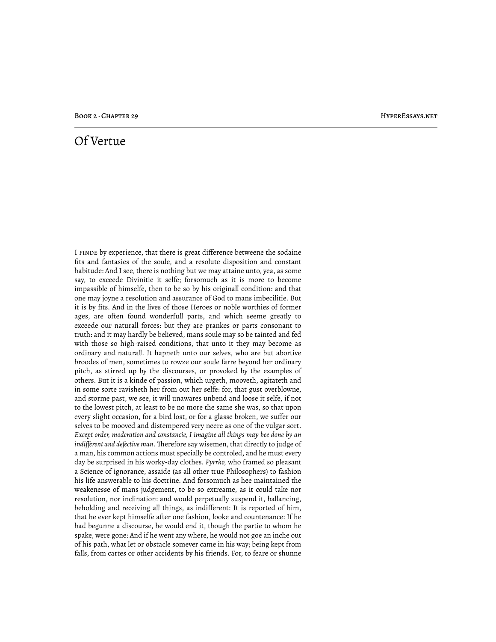## Of Vertue

I finde by experience, that there is great difference betweene the sodaine fits and fantasies of the soule, and a resolute disposition and constant habitude: And I see, there is nothing but we may attaine unto, yea, as some say, to exceede Divinitie it selfe; forsomuch as it is more to become impassible of himselfe, then to be so by his originall condition: and that one may joyne a resolution and assurance of God to mans imbecilitie. But it is by fits. And in the lives of those Heroes or noble worthies of former ages, are often found wonderfull parts, and which seeme greatly to exceede our naturall forces: but they are prankes or parts consonant to truth: and it may hardly be believed, mans soule may so be tainted and fed with those so high-raised conditions, that unto it they may become as ordinary and naturall. It hapneth unto our selves, who are but abortive broodes of men, sometimes to rowze our soule farre beyond her ordinary pitch, as stirred up by the discourses, or provoked by the examples of others. But it is a kinde of passion, which urgeth, mooveth, agitateth and in some sorte ravisheth her from out her selfe: for, that gust overblowne, and storme past, we see, it will unawares unbend and loose it selfe, if not to the lowest pitch, at least to be no more the same she was, so that upon every slight occasion, for a bird lost, or for a glasse broken, we suffer our selves to be mooved and distempered very neere as one of the vulgar sort. *Except order, moderation and constancie, I imagine all things may bee done by an indifferent and defective man.* Therefore say wisemen, that directly to judge of a man, his common actions must specially be controled, and he must every day be surprised in his worky-day clothes. *Pyrrho,* who framed so pleasant a Science of ignorance, assaide (as all other true Philosophers) to fashion his life answerable to his doctrine. And forsomuch as hee maintained the weakenesse of mans judgement, to be so extreame, as it could take nor resolution, nor inclination: and would perpetually suspend it, ballancing, beholding and receiving all things, as indifferent: It is reported of him, that he ever kept himselfe after one fashion, looke and countenance: If he had begunne a discourse, he would end it, though the partie to whom he spake, were gone: And if he went any where, he would not goe an inche out of his path, what let or obstacle somever came in his way; being kept from falls, from cartes or other accidents by his friends. For, to feare or shunne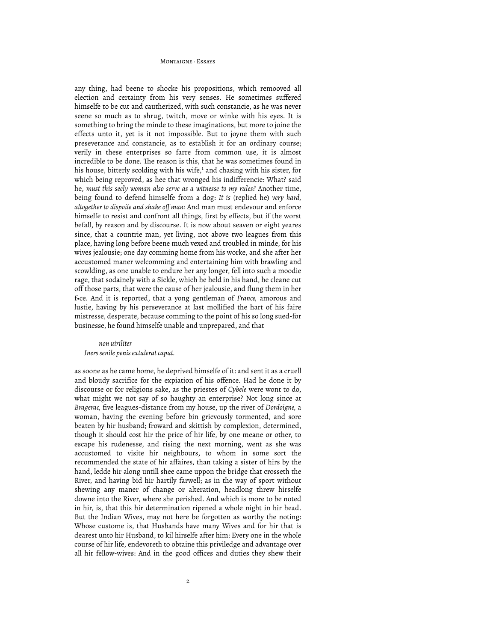any thing, had beene to shocke his propositions, which remooved all election and certainty from his very senses. He sometimes suffered himselfe to be cut and cautherized, with such constancie, as he was never seene so much as to shrug, twitch, move or winke with his eyes. It is something to bring the minde to these imaginations, but more to joine the effects unto it, yet is it not impossible. But to joyne them with such preseverance and constancie, as to establish it for an ordinary course; verily in these enterprises so farre from common use, it is almost incredible to be done. The reason is this, that he was sometimes found in his house, bitterly scolding with his wife, $<sup>1</sup>$  and chasing with his sister, for</sup> which being reproved, as hee that wronged his indifferencie: What? said he, *must this seely woman also serve as a witnesse to my rules?* Another time, being found to defend himselfe from a dog: *It is* (replied he) *very hard, altogether to dispoile and shake off man:* And man must endevour and enforce himselfe to resist and confront all things, first by effects, but if the worst befall, by reason and by discourse. It is now about seaven or eight yeares since, that a countrie man, yet living, not above two leagues from this place, having long before beene much vexed and troubled in minde, for his wives jealousie; one day comming home from his worke, and she after her accustomed maner welcomming and entertaining him with brawling and scowlding, as one unable to endure her any longer, fell into such a moodie rage, that sodainely with a Sickle, which he held in his hand, he cleane cut off those parts, that were the cause of her jealousie, and flung them in her f•ce. And it is reported, that a yong gentleman of *France,* amorous and lustie, having by his perseverance at last mollified the hart of his faire mistresse, desperate, because comming to the point of his so long sued-for businesse, he found himselfe unable and unprepared, and that

### *non uiriliter Iners senile penis extulerat caput.*

as soone as he came home, he deprived himselfe of it: and sent it as a cruell and bloudy sacrifice for the expiation of his offence. Had he done it by discourse or for religions sake, as the priestes of *Cybele* were wont to do, what might we not say of so haughty an enterprise? Not long since at *Bragerac,* five leagues-distance from my house, up the river of *Dordoigne,* a woman, having the evening before bin grievously tormented, and sore beaten by hir husband; froward and skittish by complexion, determined, though it should cost hir the price of hir life, by one meane or other, to escape his rudenesse, and rising the next morning, went as she was accustomed to visite hir neighbours, to whom in some sort the recommended the state of hir affaires, than taking a sister of hirs by the hand, ledde hir along untill shee came uppon the bridge that crosseth the River, and having bid hir hartily farwell; as in the way of sport without shewing any maner of change or alteration, headlong threw hirselfe downe into the River, where she perished. And which is more to be noted in hir, is, that this hir determination ripened a whole night in hir head. But the Indian Wives, may not here be forgotten as worthy the noting: Whose custome is, that Husbands have many Wives and for hir that is dearest unto hir Husband, to kil hirselfe after him: Every one in the whole course of hir life, endevoreth to obtaine this priviledge and advantage over all hir fellow-wives: And in the good offices and duties they shew their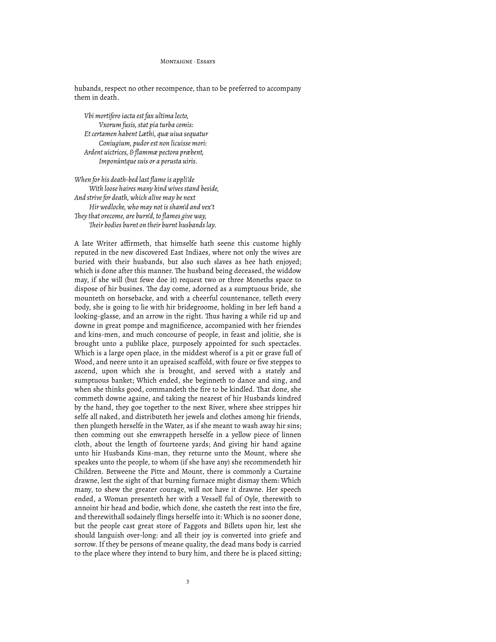hubands, respect no other recompence, than to be preferred to accompany them in death.

*Vbi mortifero iacta est fax ultima lecto, Vxorum fusis, stat pia turba comis: Et certamen habent Læthi, quæ uiua sequatur Coniugium, pudor est non licuisse mori: Ardent uictrices, & flammæ pectora præbent, Imponúntque suis or a perusta uiris.*

*When for his death-bed last flame is appli'de With loose haires many kind wives stand beside, And strive for death, which alive may be next Hir wedlocke, who may not is sham'd and vex't #ey that orecome, are burn'd, to flames give way, #eir bodies burnt on their burnt husbands lay.*

A late Writer affirmeth, that himselfe hath seene this custome highly reputed in the new discovered East Indiaes, where not only the wives are buried with their husbands, but also such slaves as hee hath enjoyed; which is done after this manner. The husband being deceased, the widdow may, if she will (but fewe doe it) request two or three Moneths space to dispose of hir busines. The day come, adorned as a sumptuous bride, she mounteth on horsebacke, and with a cheerful countenance, telleth every body, she is going to lie with hir bridegroome, holding in her left hand a looking-glasse, and an arrow in the right. Thus having a while rid up and downe in great pompe and magnificence, accompanied with her friendes and kins-men, and much concourse of people, in feast and jolitie, she is brought unto a publike place, purposely appointed for such spectacles. Which is a large open place, in the middest wherof is a pit or grave full of Wood, and neere unto it an upraised scaffold, with foure or five steppes to ascend, upon which she is brought, and served with a stately and sumptuous banket; Which ended, she beginneth to dance and sing, and when she thinks good, commandeth the fire to be kindled. That done, she commeth downe againe, and taking the nearest of hir Husbands kindred by the hand, they goe together to the next River, where shee strippes hir selfe all naked, and distributeth her jewels and clothes among hir friends, then plungeth herselfe in the Water, as if she meant to wash away hir sins; then comming out she enwrappeth herselfe in a yellow piece of linnen cloth, about the length of fourteene yards; And giving hir hand againe unto hir Husbands Kins-man, they returne unto the Mount, where she speakes unto the people, to whom (if she have any) she recommendeth hir Children. Betweene the Pitte and Mount, there is commonly a Curtaine drawne, lest the sight of that burning furnace might dismay them: Which many, to shew the greater courage, will not have it drawne. Her speech ended, a Woman presenteth her with a Vessell ful of Oyle, therewith to annoint hir head and bodie, which done, she casteth the rest into the fire, and therewithall sodainely flings herselfe into it: Which is no sooner done, but the people cast great store of Faggots and Billets upon hir, lest she should languish over-long: and all their joy is converted into griefe and sorrow. If they be persons of meane quality, the dead mans body is carried to the place where they intend to bury him, and there he is placed sitting;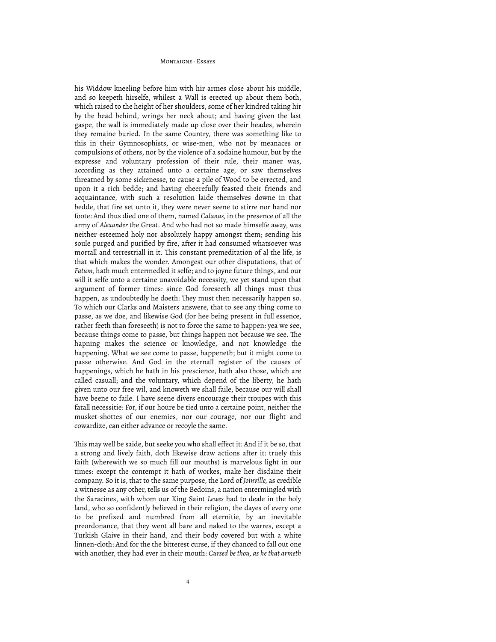his Widdow kneeling before him with hir armes close about his middle, and so keepeth hirselfe, whilest a Wall is erected up about them both, which raised to the height of her shoulders, some of her kindred taking hir by the head behind, wrings her neck about; and having given the last gaspe, the wall is immediately made up close over their heades, wherein they remaine buried. In the same Country, there was something like to this in their Gymnosophists, or wise-men, who not by meanaces or compulsions of others, nor by the violence of a sodaine humour, but by the expresse and voluntary profession of their rule, their maner was, according as they attained unto a certaine age, or saw themselves threatned by some sickenesse, to cause a pile of Wood to be errected, and upon it a rich bedde; and having cheerefully feasted their friends and acquaintance, with such a resolution laide themselves downe in that bedde, that fire set unto it, they were never seene to stirre nor hand nor foote: And thus died one of them, named *Calanus,* in the presence of all the army of *Alexander* the Great. And who had not so made himselfe away, was neither esteemed holy nor absolutely happy amongst them; sending his soule purged and purified by fire, after it had consumed whatsoever was mortall and terrestriall in it. This constant premeditation of al the life, is that which makes the wonder. Amongest our other disputations, that of *Fatum,* hath much entermedled it selfe; and to joyne future things, and our will it selfe unto a certaine unavoidable necessity, we yet stand upon that argument of former times: since God foreseeth all things must thus happen, as undoubtedly he doeth: They must then necessarily happen so. To which our Clarks and Maisters answere, that to see any thing come to passe, as we doe, and likewise God (for hee being present in full essence, rather feeth than foreseeth) is not to force the same to happen: yea we see, because things come to passe, but things happen not because we see. The hapning makes the science or knowledge, and not knowledge the happening. What we see come to passe, happeneth; but it might come to passe otherwise. And God in the eternall register of the causes of happenings, which he hath in his prescience, hath also those, which are called casuall; and the voluntary, which depend of the liberty, he hath given unto our free wil, and knoweth we shall faile, because our will shall have beene to faile. I have seene divers encourage their troupes with this fatall necessitie: For, if our houre be tied unto a certaine point, neither the musket-shottes of our enemies, nor our courage, nor our flight and cowardize, can either advance or recoyle the same.

This may well be saide, but seeke you who shall effect it: And if it be so, that a strong and lively faith, doth likewise draw actions after it: truely this faith (wherewith we so much fill our mouths) is marvelous light in our times: except the contempt it hath of workes, make her disdaine their company. So it is, that to the same purpose, the Lord of *Joinville,* as credible a witnesse as any other, tells us of the Bedoins, a nation entermingled with the Saracines, with whom our King Saint *Lewes* had to deale in the holy land, who so confidently believed in their religion, the dayes of every one to be prefixed and numbred from all eternitie, by an inevitable preordonance, that they went all bare and naked to the warres, except a Turkish Glaive in their hand, and their body covered but with a white linnen-cloth: And for the the bitterest curse, if they chanced to fall out one with another, they had ever in their mouth: *Cursed be thou, as he that armeth*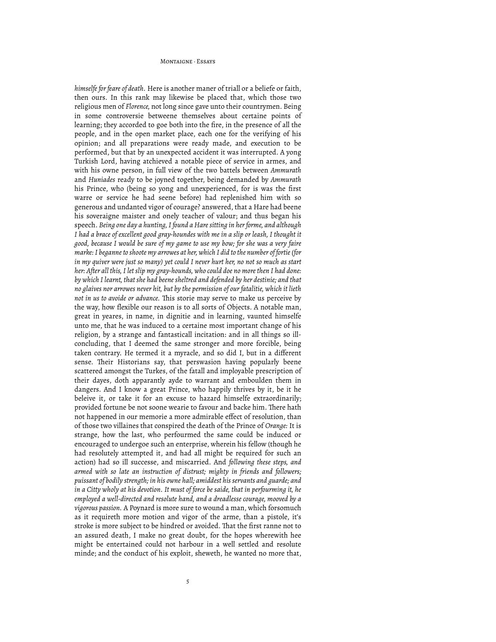#### MONTAIGNE · ESSAVE

*himselfe for feare of death.* Here is another maner of triall or a beliefe or faith, then ours. In this rank may likewise be placed that, which those two religious men of *Florence,* not long since gave unto their countrymen. Being in some controversie betweene themselves about certaine points of learning; they accorded to goe both into the fire, in the presence of all the people, and in the open market place, each one for the verifying of his opinion; and all preparations were ready made, and execution to be performed, but that by an unexpected accident it was interrupted. A yong Turkish Lord, having atchieved a notable piece of service in armes, and with his owne person, in full view of the two battels between *Ammurath* and *Huniades* ready to be joyned together, being demanded by *Ammurath* his Prince, who (being so yong and unexperienced, for is was the first warre or service he had seene before) had replenished him with so generous and undanted vigor of courage? answered, that a Hare had beene his soveraigne maister and onely teacher of valour; and thus began his speech. *Being one day a hunting, I found a Hare sitting in her forme, and although I had a brace of excellent good gray-houndes with me in a slip or leash, I thought it good, because I would be sure of my game to use my bow; for she was a very faire marke: I beganne to shoote my arrowes at her, which I did to the number of fortie (for in my quiver were just so many) yet could I never hurt her, no not so much as start her: After all this, I let slip my gray-hounds, who could doe no more then I had done: by which I learnt, that she had beene sheltred and defended by her destinie; and that no glaives nor arrowes never hit, but by the permission of our fatalitie, which it lieth*  not in us to avoide or advance. This storie may serve to make us perceive by the way, how flexible our reason is to all sorts of Objects. A notable man, great in yeares, in name, in dignitie and in learning, vaunted himselfe unto me, that he was induced to a certaine most important change of his religion, by a strange and fantasticall incitation: and in all things so illconcluding, that I deemed the same stronger and more forcible, being taken contrary. He termed it a myracle, and so did I, but in a different sense. Their Historians say, that perswasion having popularly beene scattered amongst the Turkes, of the fatall and imployable prescription of their dayes, doth apparantly ayde to warrant and emboulden them in dangers. And I know a great Prince, who happily thrives by it, be it he beleive it, or take it for an excuse to hazard himselfe extraordinarily; provided fortune be not soone wearie to favour and backe him. There hath not happened in our memorie a more admirable effect of resolution, than of those two villaines that conspired the death of the Prince of *Orange:* It is strange, how the last, who perfourmed the same could be induced or encouraged to undergoe such an enterprise, wherein his fellow (though he had resolutely attempted it, and had all might be required for such an action) had so ill successe, and miscarried. And *following these steps, and armed with so late an instruction of distrust; mighty in friends and followers; puissant of bodily strength; in his owne hall; amiddest his servants and guarde; and in a Citty wholy at his devotion. It must of force be saide, that in perfourming it, he employed a well-directed and resolute hand, and a dreadlesse courage, mooved by a vigorous passion.* A Poynard is more sure to wound a man, which forsomuch as it requireth more motion and vigor of the arme, than a pistole, it's stroke is more subject to be hindred or avoided. That the first ranne not to an assured death, I make no great doubt, for the hopes wherewith hee might be entertained could not harbour in a well settled and resolute minde; and the conduct of his exploit, sheweth, he wanted no more that,